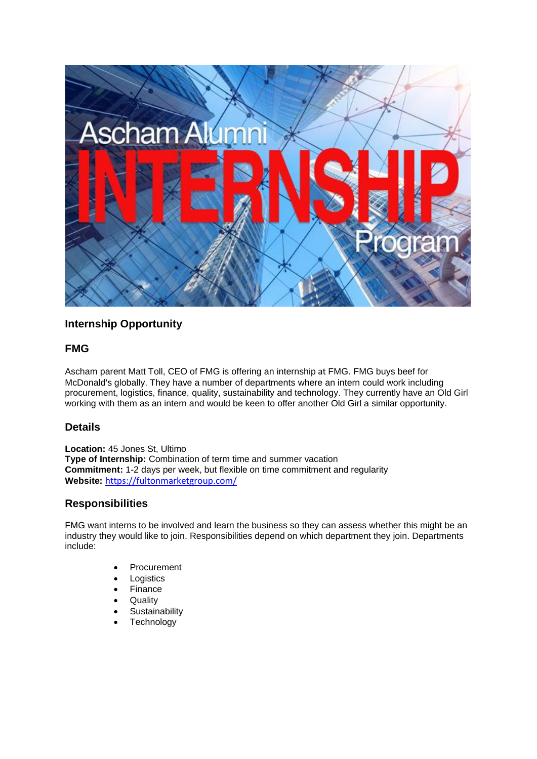

# **Internship Opportunity**

#### **FMG**

Ascham parent Matt Toll, CEO of FMG is offering an internship at FMG. FMG buys beef for McDonald's globally. They have a number of departments where an intern could work including procurement, logistics, finance, quality, sustainability and technology. They currently have an Old Girl working with them as an intern and would be keen to offer another Old Girl a similar opportunity.

## **Details**

**Location:** 45 Jones St, Ultimo **Type of Internship:** Combination of term time and summer vacation **Commitment:** 1-2 days per week, but flexible on time commitment and regularity **Website:** <https://fultonmarketgroup.com/>

## **Responsibilities**

FMG want interns to be involved and learn the business so they can assess whether this might be an industry they would like to join. Responsibilities depend on which department they join. Departments include:

- **Procurement**
- **Logistics**
- **Finance**
- **Quality**
- **Sustainability**
- **Technology**